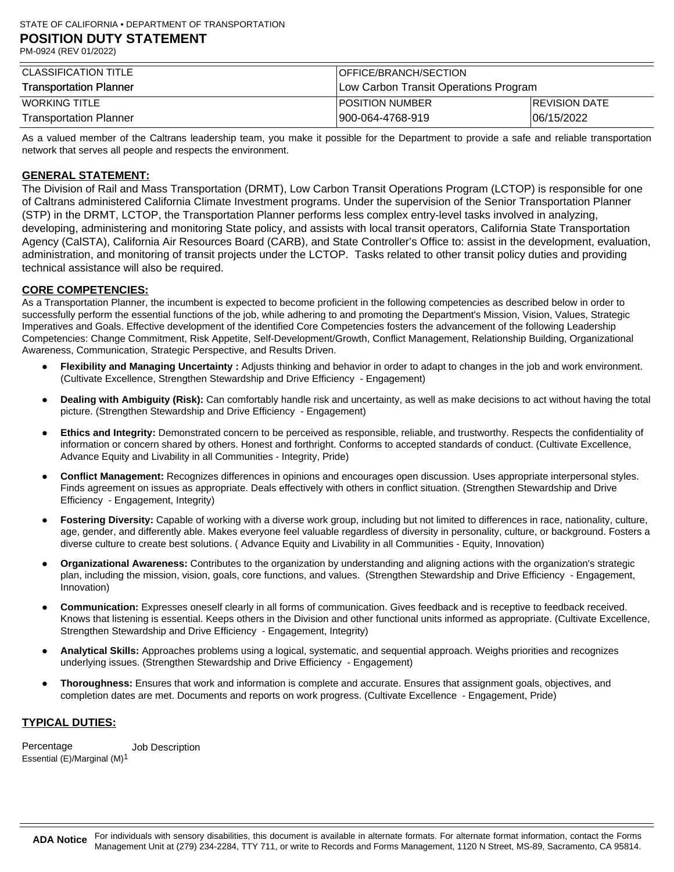| <b>CLASSIFICATION TITLE</b>   | <b>OFFICE/BRANCH/SECTION</b>          |                      |
|-------------------------------|---------------------------------------|----------------------|
| <b>Transportation Planner</b> | Low Carbon Transit Operations Program |                      |
| <b>WORKING TITLE</b>          | IPOSITION NUMBER                      | <b>REVISION DATE</b> |
| <b>Transportation Planner</b> | 900-064-4768-919                      | 06/15/2022           |

As a valued member of the Caltrans leadership team, you make it possible for the Department to provide a safe and reliable transportation network that serves all people and respects the environment.

# **GENERAL STATEMENT:**

The Division of Rail and Mass Transportation (DRMT), Low Carbon Transit Operations Program (LCTOP) is responsible for one of Caltrans administered California Climate Investment programs. Under the supervision of the Senior Transportation Planner (STP) in the DRMT, LCTOP, the Transportation Planner performs less complex entry-level tasks involved in analyzing, developing, administering and monitoring State policy, and assists with local transit operators, California State Transportation Agency (CalSTA), California Air Resources Board (CARB), and State Controller's Office to: assist in the development, evaluation, administration, and monitoring of transit projects under the LCTOP. Tasks related to other transit policy duties and providing technical assistance will also be required.

### **CORE COMPETENCIES:**

As a Transportation Planner, the incumbent is expected to become proficient in the following competencies as described below in order to successfully perform the essential functions of the job, while adhering to and promoting the Department's Mission, Vision, Values, Strategic Imperatives and Goals. Effective development of the identified Core Competencies fosters the advancement of the following Leadership Competencies: Change Commitment, Risk Appetite, Self-Development/Growth, Conflict Management, Relationship Building, Organizational Awareness, Communication, Strategic Perspective, and Results Driven.

- **Flexibility and Managing Uncertainty :** Adjusts thinking and behavior in order to adapt to changes in the job and work environment. (Cultivate Excellence, Strengthen Stewardship and Drive Efficiency - Engagement)
- **Dealing with Ambiguity (Risk):** Can comfortably handle risk and uncertainty, as well as make decisions to act without having the total picture. (Strengthen Stewardship and Drive Efficiency - Engagement)
- **Ethics and Integrity:** Demonstrated concern to be perceived as responsible, reliable, and trustworthy. Respects the confidentiality of information or concern shared by others. Honest and forthright. Conforms to accepted standards of conduct. (Cultivate Excellence, Advance Equity and Livability in all Communities - Integrity, Pride)
- **Conflict Management:** Recognizes differences in opinions and encourages open discussion. Uses appropriate interpersonal styles. Finds agreement on issues as appropriate. Deals effectively with others in conflict situation. (Strengthen Stewardship and Drive Efficiency - Engagement, Integrity)
- Fostering Diversity: Capable of working with a diverse work group, including but not limited to differences in race, nationality, culture, age, gender, and differently able. Makes everyone feel valuable regardless of diversity in personality, culture, or background. Fosters a diverse culture to create best solutions. ( Advance Equity and Livability in all Communities - Equity, Innovation)
- **Organizational Awareness:** Contributes to the organization by understanding and aligning actions with the organization's strategic plan, including the mission, vision, goals, core functions, and values. (Strengthen Stewardship and Drive Efficiency - Engagement, Innovation)
- **Communication:** Expresses oneself clearly in all forms of communication. Gives feedback and is receptive to feedback received. Knows that listening is essential. Keeps others in the Division and other functional units informed as appropriate. (Cultivate Excellence, Strengthen Stewardship and Drive Efficiency - Engagement, Integrity)
- **Analytical Skills:** Approaches problems using a logical, systematic, and sequential approach. Weighs priorities and recognizes underlying issues. (Strengthen Stewardship and Drive Efficiency - Engagement)
- **Thoroughness:** Ensures that work and information is complete and accurate. Ensures that assignment goals, objectives, and completion dates are met. Documents and reports on work progress. (Cultivate Excellence - Engagement, Pride)

# **TYPICAL DUTIES:**

Percentage Essential (E)/Marginal (M)1 Job Description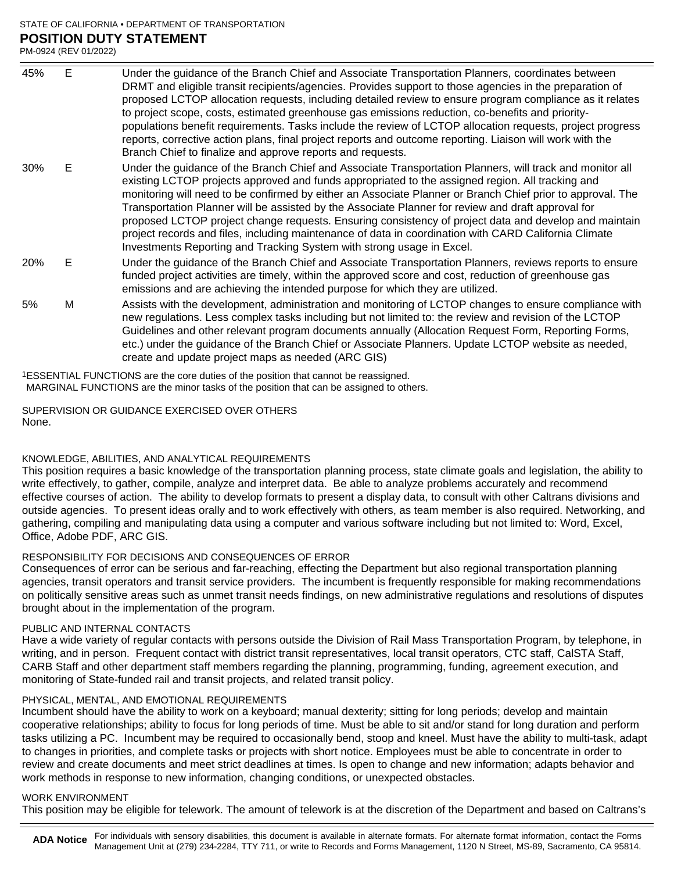#### STATE OF CALIFORNIA • DEPARTMENT OF TRANSPORTATION **POSITION DUTY STATEMENT** PM-0924 (REV 01/2022)

Under the guidance of the Branch Chief and Associate Transportation Planners, coordinates between DRMT and eligible transit recipients/agencies. Provides support to those agencies in the preparation of proposed LCTOP allocation requests, including detailed review to ensure program compliance as it relates to project scope, costs, estimated greenhouse gas emissions reduction, co-benefits and prioritypopulations benefit requirements. Tasks include the review of LCTOP allocation requests, project progress reports, corrective action plans, final project reports and outcome reporting. Liaison will work with the Branch Chief to finalize and approve reports and requests. 45% E Under the guidance of the Branch Chief and Associate Transportation Planners, will track and monitor all existing LCTOP projects approved and funds appropriated to the assigned region. All tracking and monitoring will need to be confirmed by either an Associate Planner or Branch Chief prior to approval. The Transportation Planner will be assisted by the Associate Planner for review and draft approval for proposed LCTOP project change requests. Ensuring consistency of project data and develop and maintain project records and files, including maintenance of data in coordination with CARD California Climate Investments Reporting and Tracking System with strong usage in Excel. 30% E Under the guidance of the Branch Chief and Associate Transportation Planners, reviews reports to ensure funded project activities are timely, within the approved score and cost, reduction of greenhouse gas emissions and are achieving the intended purpose for which they are utilized. 20% E Assists with the development, administration and monitoring of LCTOP changes to ensure compliance with new regulations. Less complex tasks including but not limited to: the review and revision of the LCTOP Guidelines and other relevant program documents annually (Allocation Request Form, Reporting Forms, 5% M

etc.) under the guidance of the Branch Chief or Associate Planners. Update LCTOP website as needed,

1ESSENTIAL FUNCTIONS are the core duties of the position that cannot be reassigned. MARGINAL FUNCTIONS are the minor tasks of the position that can be assigned to others.

create and update project maps as needed (ARC GIS)

None. SUPERVISION OR GUIDANCE EXERCISED OVER OTHERS

#### KNOWLEDGE, ABILITIES, AND ANALYTICAL REQUIREMENTS

This position requires a basic knowledge of the transportation planning process, state climate goals and legislation, the ability to write effectively, to gather, compile, analyze and interpret data. Be able to analyze problems accurately and recommend effective courses of action. The ability to develop formats to present a display data, to consult with other Caltrans divisions and outside agencies. To present ideas orally and to work effectively with others, as team member is also required. Networking, and gathering, compiling and manipulating data using a computer and various software including but not limited to: Word, Excel, Office, Adobe PDF, ARC GIS.

## RESPONSIBILITY FOR DECISIONS AND CONSEQUENCES OF ERROR

Consequences of error can be serious and far-reaching, effecting the Department but also regional transportation planning agencies, transit operators and transit service providers. The incumbent is frequently responsible for making recommendations on politically sensitive areas such as unmet transit needs findings, on new administrative regulations and resolutions of disputes brought about in the implementation of the program.

#### PUBLIC AND INTERNAL CONTACTS

Have a wide variety of regular contacts with persons outside the Division of Rail Mass Transportation Program, by telephone, in writing, and in person. Frequent contact with district transit representatives, local transit operators, CTC staff, CalSTA Staff, CARB Staff and other department staff members regarding the planning, programming, funding, agreement execution, and monitoring of State-funded rail and transit projects, and related transit policy.

#### PHYSICAL, MENTAL, AND EMOTIONAL REQUIREMENTS

Incumbent should have the ability to work on a keyboard; manual dexterity; sitting for long periods; develop and maintain cooperative relationships; ability to focus for long periods of time. Must be able to sit and/or stand for long duration and perform tasks utilizing a PC. Incumbent may be required to occasionally bend, stoop and kneel. Must have the ability to multi-task, adapt to changes in priorities, and complete tasks or projects with short notice. Employees must be able to concentrate in order to review and create documents and meet strict deadlines at times. Is open to change and new information; adapts behavior and work methods in response to new information, changing conditions, or unexpected obstacles.

#### WORK ENVIRONMENT

This position may be eligible for telework. The amount of telework is at the discretion of the Department and based on Caltrans's

ADA Notice For individuals with sensory disabilities, this document is available in alternate formats. For alternate format information, contact the Forms Management Unit at (279) 234-2284, TTY 711, or write to Records and Forms Management, 1120 N Street, MS-89, Sacramento, CA 95814.